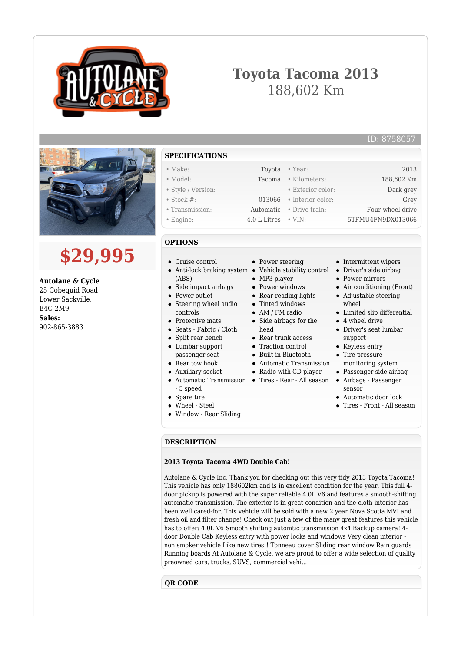

## **Toyota Tacoma 2013** 188,602 Km



# **\$29,995**

**Autolane & Cycle** 25 Cobequid Road Lower Sackville, B4C 2M9 **Sales:** 902-865-3883

- **SPECIFICATIONS**
- Make: Toyota Year: 2013 • Model: Tacoma • Kilometers: 188,602 Km
- Style / Version: Exterior color: Dark grey
- Stock #: 013066 Interior color: Grey
- Transmission: Automatic Drive train: Four-wheel drive
- Engine: 4.0 L Litres VIN: 5TFMU4FN9DX013066

### **OPTIONS**

 $\bullet$ 

- Cruise control
- Anti-lock braking system Vehicle stability control (ABS)
	- Side impact airbags
- Power outlet
- Steering wheel audio controls
- Protective mats
- Seats Fabric / Cloth
- Split rear bench
- Lumbar support
- passenger seat
- Rear tow hook
- Auxiliary socket
- Automatic Transmission Tires Rear All season - 5 speed
- Spare tire
- Wheel Steel
- Window Rear Sliding
- Power steering
- 
- MP3 player
- Power windows
- Rear reading lights
- Tinted windows
- AM / FM radio
- Side airbags for the head
- Rear trunk access
- Traction control
- Built-in Bluetooth
- Automatic Transmission
- Radio with CD player
	-
- Intermittent wipers
- Driver's side airbag
- Power mirrors
- Air conditioning (Front)

ID: 8758057

- Adjustable steering wheel
- Limited slip differential
- 4 wheel drive
- Driver's seat lumbar support
- Keyless entry
- Tire pressure monitoring system
- Passenger side airbag
- Airbags Passenger sensor
- Automatic door lock
- Tires Front All season

#### **DESCRIPTION**

#### **2013 Toyota Tacoma 4WD Double Cab!**

Autolane & Cycle Inc. Thank you for checking out this very tidy 2013 Toyota Tacoma! This vehicle has only 188602km and is in excellent condition for the year. This full 4 door pickup is powered with the super reliable 4.0L V6 and features a smooth-shifting automatic transmission. The exterior is in great condition and the cloth interior has been well cared-for. This vehicle will be sold with a new 2 year Nova Scotia MVI and fresh oil and filter change! Check out just a few of the many great features this vehicle has to offer: 4.0L V6 Smooth shifting automtic transmission 4x4 Backup camera! 4 door Double Cab Keyless entry with power locks and windows Very clean interior non smoker vehicle Like new tires!! Tonneau cover Sliding rear window Rain guards Running boards At Autolane & Cycle, we are proud to offer a wide selection of quality preowned cars, trucks, SUVS, commercial vehi...

**QR CODE**